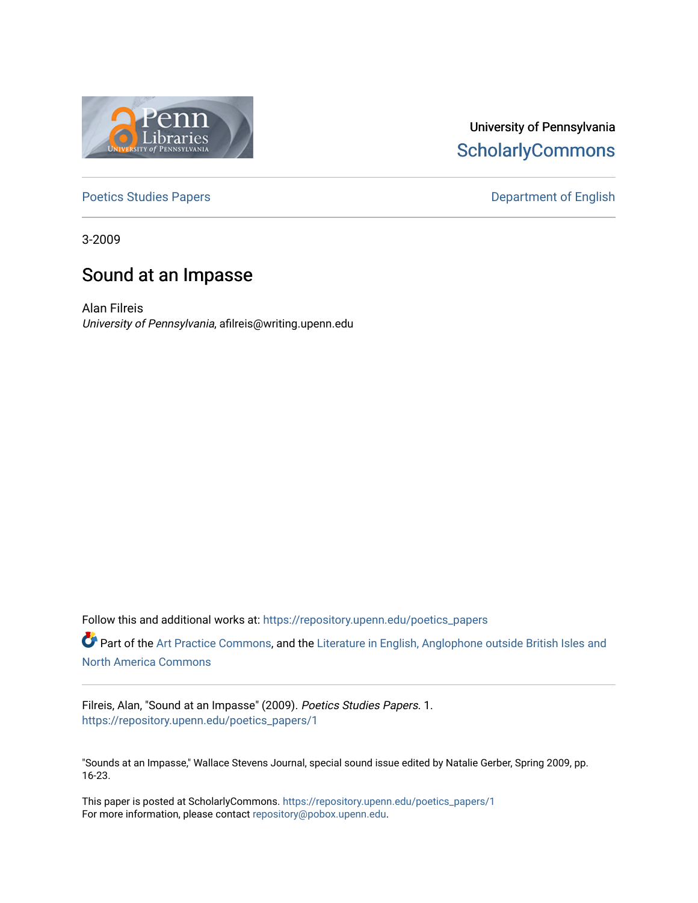

# University of Pennsylvania **ScholarlyCommons**

[Poetics Studies Papers](https://repository.upenn.edu/poetics_papers) **Department of English** 

3-2009

# Sound at an Impasse

Alan Filreis University of Pennsylvania, afilreis@writing.upenn.edu

Follow this and additional works at: [https://repository.upenn.edu/poetics\\_papers](https://repository.upenn.edu/poetics_papers?utm_source=repository.upenn.edu%2Fpoetics_papers%2F1&utm_medium=PDF&utm_campaign=PDFCoverPages)

Part of the [Art Practice Commons](http://network.bepress.com/hgg/discipline/509?utm_source=repository.upenn.edu%2Fpoetics_papers%2F1&utm_medium=PDF&utm_campaign=PDFCoverPages), and the [Literature in English, Anglophone outside British Isles and](http://network.bepress.com/hgg/discipline/457?utm_source=repository.upenn.edu%2Fpoetics_papers%2F1&utm_medium=PDF&utm_campaign=PDFCoverPages) [North America Commons](http://network.bepress.com/hgg/discipline/457?utm_source=repository.upenn.edu%2Fpoetics_papers%2F1&utm_medium=PDF&utm_campaign=PDFCoverPages)

Filreis, Alan, "Sound at an Impasse" (2009). Poetics Studies Papers. 1. [https://repository.upenn.edu/poetics\\_papers/1](https://repository.upenn.edu/poetics_papers/1?utm_source=repository.upenn.edu%2Fpoetics_papers%2F1&utm_medium=PDF&utm_campaign=PDFCoverPages)

"Sounds at an Impasse," Wallace Stevens Journal, special sound issue edited by Natalie Gerber, Spring 2009, pp. 16-23.

This paper is posted at ScholarlyCommons. [https://repository.upenn.edu/poetics\\_papers/1](https://repository.upenn.edu/poetics_papers/1)  For more information, please contact [repository@pobox.upenn.edu.](mailto:repository@pobox.upenn.edu)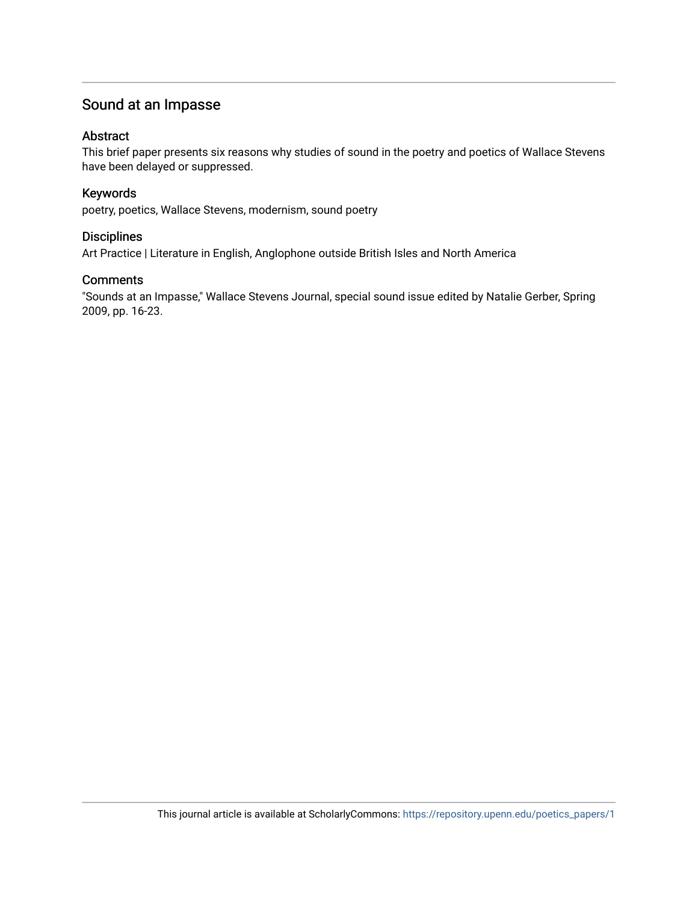## Sound at an Impasse

#### Abstract

This brief paper presents six reasons why studies of sound in the poetry and poetics of Wallace Stevens have been delayed or suppressed.

#### Keywords

poetry, poetics, Wallace Stevens, modernism, sound poetry

### **Disciplines**

Art Practice | Literature in English, Anglophone outside British Isles and North America

### **Comments**

"Sounds at an Impasse," Wallace Stevens Journal, special sound issue edited by Natalie Gerber, Spring 2009, pp. 16-23.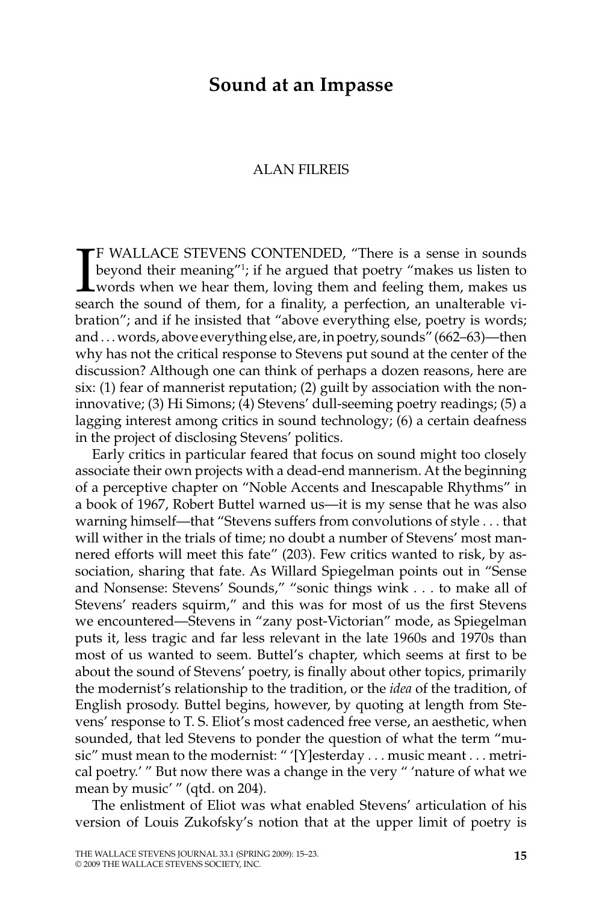## **Sound at an Impasse**

#### ALAN FILREIS

I F WALLACE STEVENS CONTENDED, "There is a sense in sounds beyond their meaning"1 ; if he argued that poetry "makes us listen to words when we hear them, loving them and feeling them, makes us search the sound of them, for a finality, a perfection, an unalterable vibration"; and if he insisted that "above everything else, poetry is words; and. . . words, above everything else, are, in poetry, sounds" (662–63)—then why has not the critical response to Stevens put sound at the center of the discussion? Although one can think of perhaps a dozen reasons, here are six: (1) fear of mannerist reputation; (2) guilt by association with the noninnovative; (3) Hi Simons; (4) Stevens' dull-seeming poetry readings; (5) a lagging interest among critics in sound technology; (6) a certain deafness in the project of disclosing Stevens' politics.

Early critics in particular feared that focus on sound might too closely associate their own projects with a dead-end mannerism. At the beginning of a perceptive chapter on "Noble Accents and Inescapable Rhythms" in a book of 1967, Robert Buttel warned us—it is my sense that he was also warning himself—that "Stevens suffers from convolutions of style . . . that will wither in the trials of time; no doubt a number of Stevens' most mannered efforts will meet this fate" (203). Few critics wanted to risk, by association, sharing that fate. As Willard Spiegelman points out in "Sense and Nonsense: Stevens' Sounds," "sonic things wink . . . to make all of Stevens' readers squirm," and this was for most of us the first Stevens we encountered—Stevens in "zany post-Victorian" mode, as Spiegelman puts it, less tragic and far less relevant in the late 1960s and 1970s than most of us wanted to seem. Buttel's chapter, which seems at first to be about the sound of Stevens' poetry, is finally about other topics, primarily the modernist's relationship to the tradition, or the *idea* of the tradition, of English prosody. Buttel begins, however, by quoting at length from Stevens' response to T. S. Eliot's most cadenced free verse, an aesthetic, when sounded, that led Stevens to ponder the question of what the term "music" must mean to the modernist: " '[Y]esterday . . . music meant . . . metrical poetry.' " But now there was a change in the very " 'nature of what we mean by music' " (qtd. on 204).

The enlistment of Eliot was what enabled Stevens' articulation of his version of Louis Zukofsky's notion that at the upper limit of poetry is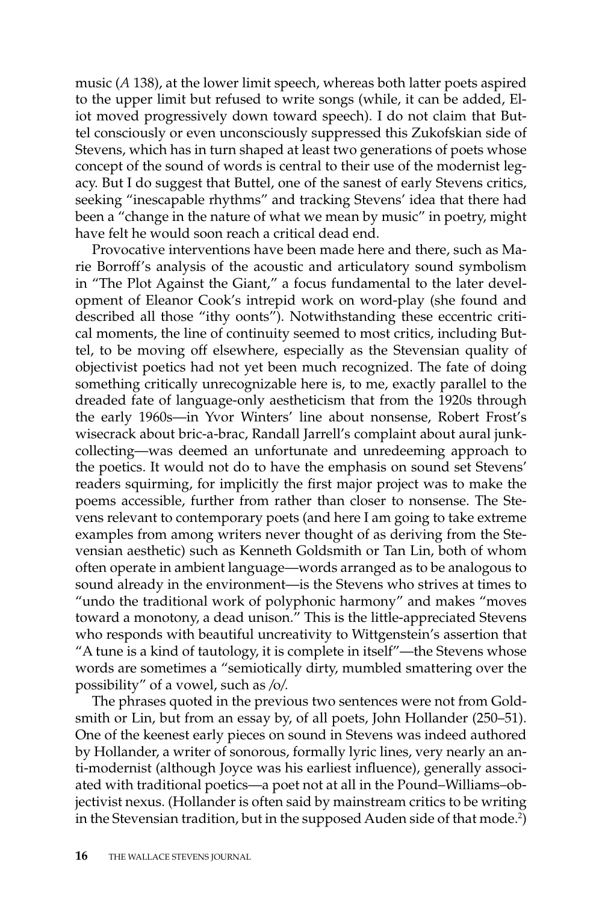music (*A* 138), at the lower limit speech, whereas both latter poets aspired to the upper limit but refused to write songs (while, it can be added, Eliot moved progressively down toward speech). I do not claim that Buttel consciously or even unconsciously suppressed this Zukofskian side of Stevens, which has in turn shaped at least two generations of poets whose concept of the sound of words is central to their use of the modernist legacy. But I do suggest that Buttel, one of the sanest of early Stevens critics, seeking "inescapable rhythms" and tracking Stevens' idea that there had been a "change in the nature of what we mean by music" in poetry, might have felt he would soon reach a critical dead end.

Provocative interventions have been made here and there, such as Marie Borroff's analysis of the acoustic and articulatory sound symbolism in "The Plot Against the Giant," a focus fundamental to the later development of Eleanor Cook's intrepid work on word-play (she found and described all those "ithy oonts"). Notwithstanding these eccentric critical moments, the line of continuity seemed to most critics, including Buttel, to be moving off elsewhere, especially as the Stevensian quality of objectivist poetics had not yet been much recognized. The fate of doing something critically unrecognizable here is, to me, exactly parallel to the dreaded fate of language-only aestheticism that from the 1920s through the early 1960s—in Yvor Winters' line about nonsense, Robert Frost's wisecrack about bric-a-brac, Randall Jarrell's complaint about aural junkcollecting—was deemed an unfortunate and unredeeming approach to the poetics. It would not do to have the emphasis on sound set Stevens' readers squirming, for implicitly the first major project was to make the poems accessible, further from rather than closer to nonsense. The Stevens relevant to contemporary poets (and here I am going to take extreme examples from among writers never thought of as deriving from the Stevensian aesthetic) such as Kenneth Goldsmith or Tan Lin, both of whom often operate in ambient language—words arranged as to be analogous to sound already in the environment—is the Stevens who strives at times to "undo the traditional work of polyphonic harmony" and makes "moves toward a monotony, a dead unison." This is the little-appreciated Stevens who responds with beautiful uncreativity to Wittgenstein's assertion that "A tune is a kind of tautology, it is complete in itself"—the Stevens whose words are sometimes a "semiotically dirty, mumbled smattering over the possibility" of a vowel, such as */*o*/.*

The phrases quoted in the previous two sentences were not from Goldsmith or Lin, but from an essay by, of all poets, John Hollander (250–51). One of the keenest early pieces on sound in Stevens was indeed authored by Hollander, a writer of sonorous, formally lyric lines, very nearly an anti-modernist (although Joyce was his earliest influence), generally associated with traditional poetics—a poet not at all in the Pound–Williams–objectivist nexus. (Hollander is often said by mainstream critics to be writing in the Stevensian tradition, but in the supposed Auden side of that mode. $^2$ )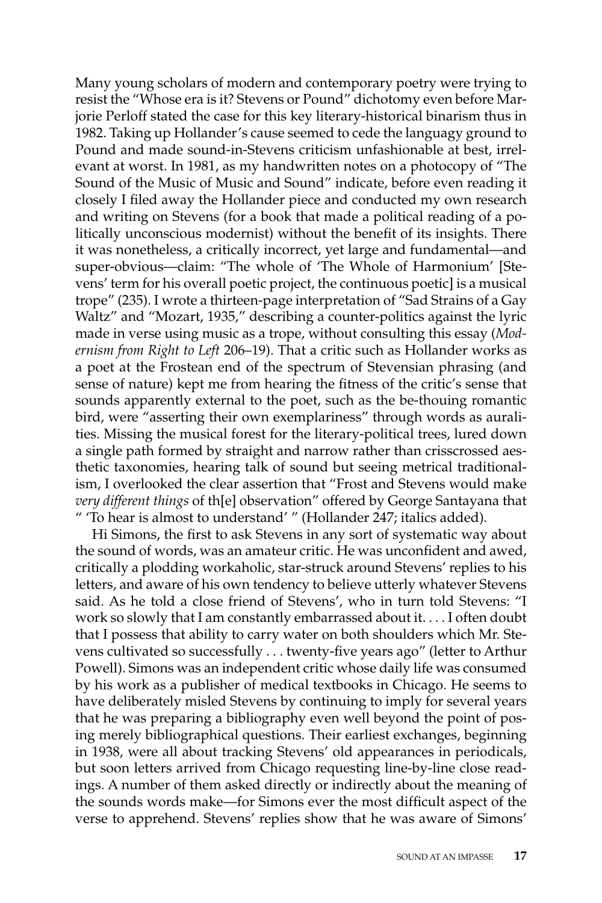Many young scholars of modern and contemporary poetry were trying to resist the "Whose era is it? Stevens or Pound" dichotomy even before Marjorie Perloff stated the case for this key literary-historical binarism thus in 1982. Taking up Hollander's cause seemed to cede the languagy ground to Pound and made sound-in-Stevens criticism unfashionable at best, irrelevant at worst. In 1981, as my handwritten notes on a photocopy of "The Sound of the Music of Music and Sound" indicate, before even reading it closely I filed away the Hollander piece and conducted my own research and writing on Stevens (for a book that made a political reading of a politically unconscious modernist) without the benefit of its insights. There it was nonetheless, a critically incorrect, yet large and fundamental—and super-obvious—claim: "The whole of 'The Whole of Harmonium' [Stevens' term for his overall poetic project, the continuous poetic] is a musical trope" (235). I wrote a thirteen-page interpretation of "Sad Strains of a Gay Waltz" and "Mozart, 1935," describing a counter-politics against the lyric made in verse using music as a trope, without consulting this essay (*Modernism from Right to Left* 206–19). That a critic such as Hollander works as a poet at the Frostean end of the spectrum of Stevensian phrasing (and sense of nature) kept me from hearing the fitness of the critic's sense that sounds apparently external to the poet, such as the be-thouing romantic bird, were "asserting their own exemplariness" through words as auralities. Missing the musical forest for the literary-political trees, lured down a single path formed by straight and narrow rather than crisscrossed aesthetic taxonomies, hearing talk of sound but seeing metrical traditionalism, I overlooked the clear assertion that "Frost and Stevens would make *very different things* of th[e] observation" offered by George Santayana that " 'To hear is almost to understand' " (Hollander 247; italics added).

Hi Simons, the first to ask Stevens in any sort of systematic way about the sound of words, was an amateur critic. He was unconfident and awed, critically a plodding workaholic, star-struck around Stevens' replies to his letters, and aware of his own tendency to believe utterly whatever Stevens said. As he told a close friend of Stevens', who in turn told Stevens: "I work so slowly that I am constantly embarrassed about it. . . . I often doubt that I possess that ability to carry water on both shoulders which Mr. Stevens cultivated so successfully . . . twenty-five years ago" (letter to Arthur Powell). Simons was an independent critic whose daily life was consumed by his work as a publisher of medical textbooks in Chicago. He seems to have deliberately misled Stevens by continuing to imply for several years that he was preparing a bibliography even well beyond the point of posing merely bibliographical questions. Their earliest exchanges, beginning in 1938, were all about tracking Stevens' old appearances in periodicals, but soon letters arrived from Chicago requesting line-by-line close readings. A number of them asked directly or indirectly about the meaning of the sounds words make—for Simons ever the most difficult aspect of the verse to apprehend. Stevens' replies show that he was aware of Simons'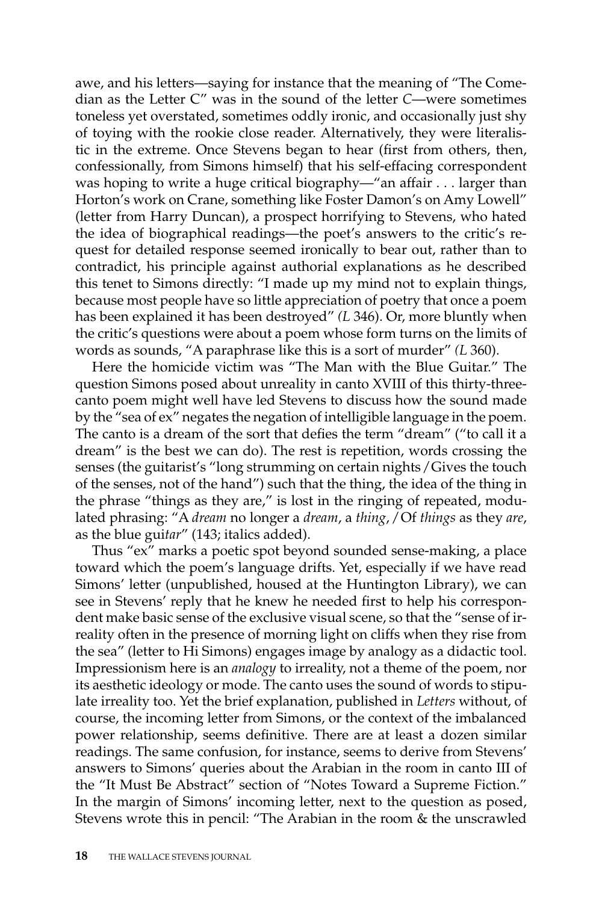awe, and his letters—saying for instance that the meaning of "The Comedian as the Letter C" was in the sound of the letter *C*—were sometimes toneless yet overstated, sometimes oddly ironic, and occasionally just shy of toying with the rookie close reader. Alternatively, they were literalistic in the extreme. Once Stevens began to hear (first from others, then, confessionally, from Simons himself) that his self-effacing correspondent was hoping to write a huge critical biography—"an affair . . . larger than Horton's work on Crane, something like Foster Damon's on Amy Lowell" (letter from Harry Duncan), a prospect horrifying to Stevens, who hated the idea of biographical readings—the poet's answers to the critic's request for detailed response seemed ironically to bear out, rather than to contradict, his principle against authorial explanations as he described this tenet to Simons directly: "I made up my mind not to explain things, because most people have so little appreciation of poetry that once a poem has been explained it has been destroyed" *(L* 346). Or, more bluntly when the critic's questions were about a poem whose form turns on the limits of words as sounds, "A paraphrase like this is a sort of murder" *(L* 360).

Here the homicide victim was "The Man with the Blue Guitar." The question Simons posed about unreality in canto XVIII of this thirty-threecanto poem might well have led Stevens to discuss how the sound made by the "sea of ex" negates the negation of intelligible language in the poem. The canto is a dream of the sort that defies the term "dream" ("to call it a dream" is the best we can do). The rest is repetition, words crossing the senses (the guitarist's "long strumming on certain nights */* Gives the touch of the senses, not of the hand") such that the thing, the idea of the thing in the phrase "things as they are," is lost in the ringing of repeated, modulated phrasing: "A *dream* no longer a *dream*, a *thing*, */* Of *things* as they *are*, as the blue gui*tar*" (143; italics added).

Thus "ex" marks a poetic spot beyond sounded sense-making, a place toward which the poem's language drifts. Yet, especially if we have read Simons' letter (unpublished, housed at the Huntington Library), we can see in Stevens' reply that he knew he needed first to help his correspondent make basic sense of the exclusive visual scene, so that the "sense of irreality often in the presence of morning light on cliffs when they rise from the sea" (letter to Hi Simons) engages image by analogy as a didactic tool. Impressionism here is an *analogy* to irreality, not a theme of the poem, nor its aesthetic ideology or mode. The canto uses the sound of words to stipulate irreality too. Yet the brief explanation, published in *Letters* without, of course, the incoming letter from Simons, or the context of the imbalanced power relationship, seems definitive. There are at least a dozen similar readings. The same confusion, for instance, seems to derive from Stevens' answers to Simons' queries about the Arabian in the room in canto III of the "It Must Be Abstract" section of "Notes Toward a Supreme Fiction." In the margin of Simons' incoming letter, next to the question as posed, Stevens wrote this in pencil: "The Arabian in the room & the unscrawled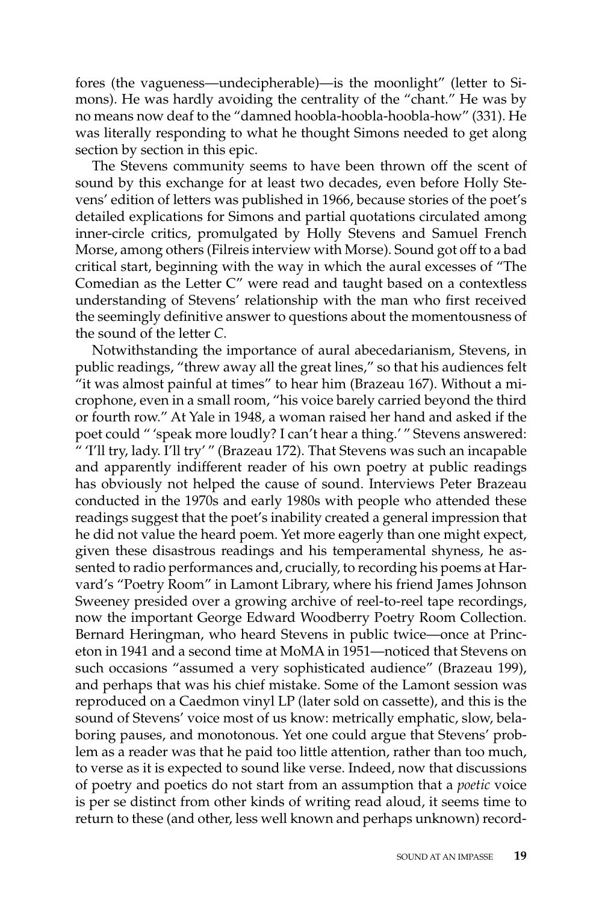fores (the vagueness—undecipherable)—is the moonlight" (letter to Simons). He was hardly avoiding the centrality of the "chant." He was by no means now deaf to the "damned hoobla-hoobla-hoobla-how" (331). He was literally responding to what he thought Simons needed to get along section by section in this epic.

The Stevens community seems to have been thrown off the scent of sound by this exchange for at least two decades, even before Holly Stevens' edition of letters was published in 1966, because stories of the poet's detailed explications for Simons and partial quotations circulated among inner-circle critics, promulgated by Holly Stevens and Samuel French Morse, among others (Filreis interview with Morse). Sound got off to a bad critical start, beginning with the way in which the aural excesses of "The Comedian as the Letter C" were read and taught based on a contextless understanding of Stevens' relationship with the man who first received the seemingly definitive answer to questions about the momentousness of the sound of the letter *C*.

Notwithstanding the importance of aural abecedarianism, Stevens, in public readings, "threw away all the great lines," so that his audiences felt "it was almost painful at times" to hear him (Brazeau 167). Without a microphone, even in a small room, "his voice barely carried beyond the third or fourth row." At Yale in 1948, a woman raised her hand and asked if the poet could " 'speak more loudly? I can't hear a thing.' " Stevens answered: " 'I'll try, lady. I'll try' " (Brazeau 172). That Stevens was such an incapable and apparently indifferent reader of his own poetry at public readings has obviously not helped the cause of sound. Interviews Peter Brazeau conducted in the 1970s and early 1980s with people who attended these readings suggest that the poet's inability created a general impression that he did not value the heard poem. Yet more eagerly than one might expect, given these disastrous readings and his temperamental shyness, he assented to radio performances and, crucially, to recording his poems at Harvard's "Poetry Room" in Lamont Library, where his friend James Johnson Sweeney presided over a growing archive of reel-to-reel tape recordings, now the important George Edward Woodberry Poetry Room Collection. Bernard Heringman, who heard Stevens in public twice—once at Princeton in 1941 and a second time at MoMA in 1951—noticed that Stevens on such occasions "assumed a very sophisticated audience" (Brazeau 199), and perhaps that was his chief mistake. Some of the Lamont session was reproduced on a Caedmon vinyl LP (later sold on cassette), and this is the sound of Stevens' voice most of us know: metrically emphatic, slow, belaboring pauses, and monotonous. Yet one could argue that Stevens' problem as a reader was that he paid too little attention, rather than too much, to verse as it is expected to sound like verse. Indeed, now that discussions of poetry and poetics do not start from an assumption that a *poetic* voice is per se distinct from other kinds of writing read aloud, it seems time to return to these (and other, less well known and perhaps unknown) record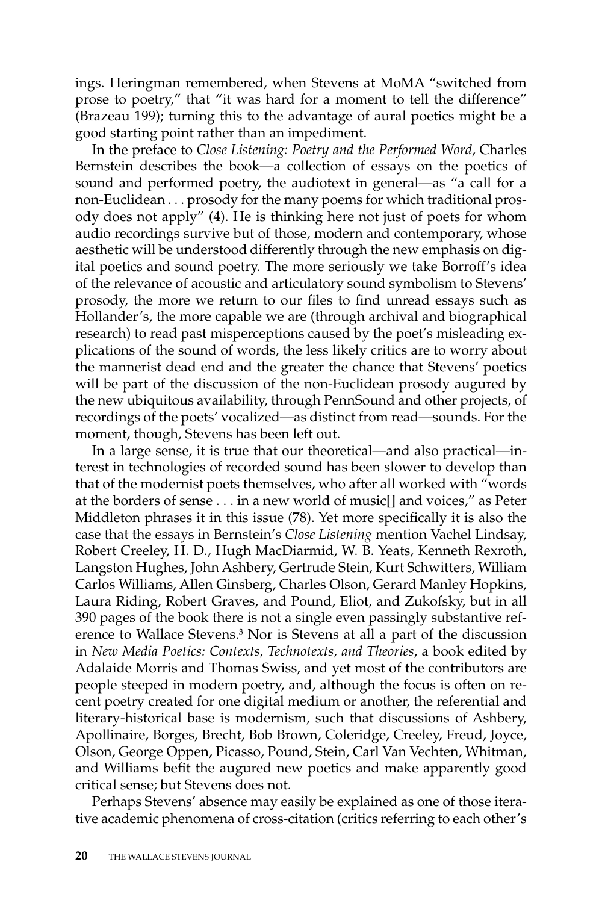ings. Heringman remembered, when Stevens at MoMA "switched from prose to poetry," that "it was hard for a moment to tell the difference" (Brazeau 199); turning this to the advantage of aural poetics might be a good starting point rather than an impediment.

In the preface to *Close Listening: Poetry and the Performed Word*, Charles Bernstein describes the book—a collection of essays on the poetics of sound and performed poetry, the audiotext in general—as "a call for a non-Euclidean . . . prosody for the many poems for which traditional prosody does not apply" (4). He is thinking here not just of poets for whom audio recordings survive but of those, modern and contemporary, whose aesthetic will be understood differently through the new emphasis on digital poetics and sound poetry. The more seriously we take Borroff's idea of the relevance of acoustic and articulatory sound symbolism to Stevens' prosody, the more we return to our files to find unread essays such as Hollander's, the more capable we are (through archival and biographical research) to read past misperceptions caused by the poet's misleading explications of the sound of words, the less likely critics are to worry about the mannerist dead end and the greater the chance that Stevens' poetics will be part of the discussion of the non-Euclidean prosody augured by the new ubiquitous availability, through PennSound and other projects, of recordings of the poets' vocalized—as distinct from read—sounds. For the moment, though, Stevens has been left out.

In a large sense, it is true that our theoretical—and also practical—interest in technologies of recorded sound has been slower to develop than that of the modernist poets themselves, who after all worked with "words at the borders of sense . . . in a new world of music[] and voices," as Peter Middleton phrases it in this issue (78). Yet more specifically it is also the case that the essays in Bernstein's *Close Listening* mention Vachel Lindsay, Robert Creeley, H. D., Hugh MacDiarmid, W. B. Yeats, Kenneth Rexroth, Langston Hughes, John Ashbery, Gertrude Stein, Kurt Schwitters, William Carlos Williams, Allen Ginsberg, Charles Olson, Gerard Manley Hopkins, Laura Riding, Robert Graves, and Pound, Eliot, and Zukofsky, but in all 390 pages of the book there is not a single even passingly substantive reference to Wallace Stevens.<sup>3</sup> Nor is Stevens at all a part of the discussion in *New Media Poetics: Contexts, Technotexts, and Theories*, a book edited by Adalaide Morris and Thomas Swiss, and yet most of the contributors are people steeped in modern poetry, and, although the focus is often on recent poetry created for one digital medium or another, the referential and literary-historical base is modernism, such that discussions of Ashbery, Apollinaire, Borges, Brecht, Bob Brown, Coleridge, Creeley, Freud, Joyce, Olson, George Oppen, Picasso, Pound, Stein, Carl Van Vechten, Whitman, and Williams befit the augured new poetics and make apparently good critical sense; but Stevens does not.

Perhaps Stevens' absence may easily be explained as one of those iterative academic phenomena of cross-citation (critics referring to each other's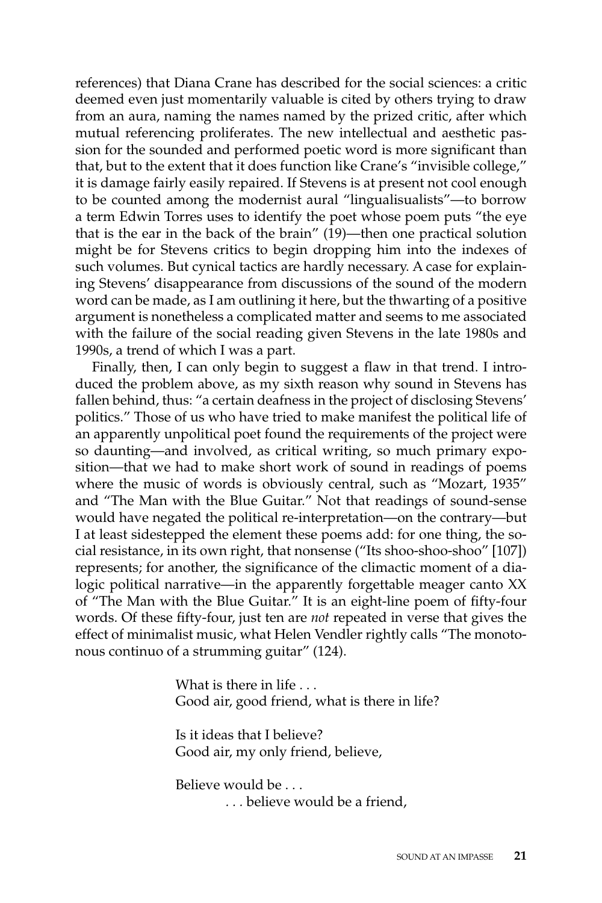references) that Diana Crane has described for the social sciences: a critic deemed even just momentarily valuable is cited by others trying to draw from an aura, naming the names named by the prized critic, after which mutual referencing proliferates. The new intellectual and aesthetic passion for the sounded and performed poetic word is more significant than that, but to the extent that it does function like Crane's "invisible college," it is damage fairly easily repaired. If Stevens is at present not cool enough to be counted among the modernist aural "lingualisualists"—to borrow a term Edwin Torres uses to identify the poet whose poem puts "the eye that is the ear in the back of the brain" (19)—then one practical solution might be for Stevens critics to begin dropping him into the indexes of such volumes. But cynical tactics are hardly necessary. A case for explaining Stevens' disappearance from discussions of the sound of the modern word can be made, as I am outlining it here, but the thwarting of a positive argument is nonetheless a complicated matter and seems to me associated with the failure of the social reading given Stevens in the late 1980s and 1990s, a trend of which I was a part.

Finally, then, I can only begin to suggest a flaw in that trend. I introduced the problem above, as my sixth reason why sound in Stevens has fallen behind, thus: "a certain deafness in the project of disclosing Stevens' politics." Those of us who have tried to make manifest the political life of an apparently unpolitical poet found the requirements of the project were so daunting—and involved, as critical writing, so much primary exposition—that we had to make short work of sound in readings of poems where the music of words is obviously central, such as "Mozart, 1935" and "The Man with the Blue Guitar." Not that readings of sound-sense would have negated the political re-interpretation—on the contrary—but I at least sidestepped the element these poems add: for one thing, the social resistance, in its own right, that nonsense ("Its shoo-shoo-shoo" [107]) represents; for another, the significance of the climactic moment of a dialogic political narrative—in the apparently forgettable meager canto XX of "The Man with the Blue Guitar." It is an eight-line poem of fifty-four words. Of these fifty-four, just ten are *not* repeated in verse that gives the effect of minimalist music, what Helen Vendler rightly calls "The monotonous continuo of a strumming guitar" (124).

> What is there in life . . . Good air, good friend, what is there in life?

Is it ideas that I believe? Good air, my only friend, believe,

Believe would be . . .  *. . .* believe would be a friend,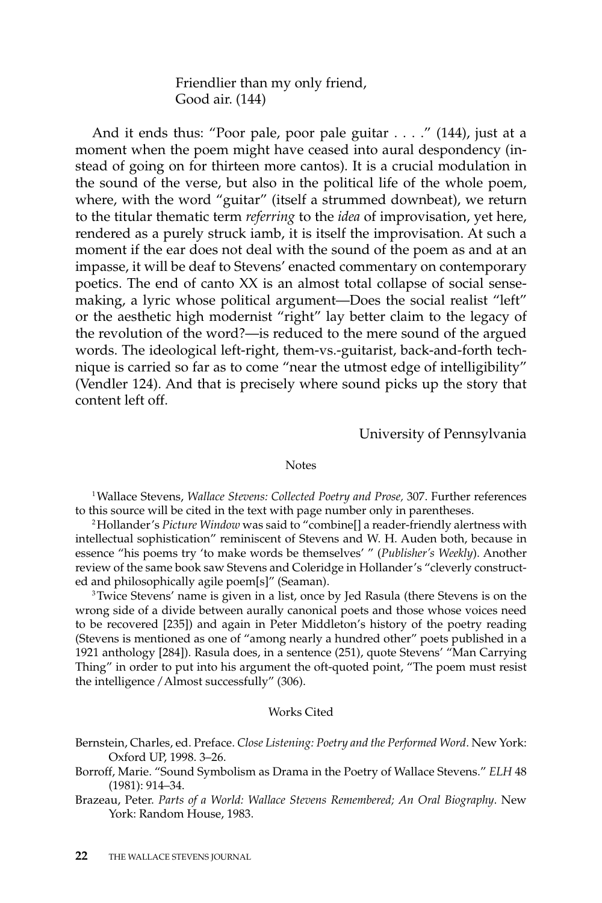Friendlier than my only friend, Good air. (144)

And it ends thus: "Poor pale, poor pale guitar . . . ." (144), just at a moment when the poem might have ceased into aural despondency (instead of going on for thirteen more cantos). It is a crucial modulation in the sound of the verse, but also in the political life of the whole poem, where, with the word "guitar" (itself a strummed downbeat), we return to the titular thematic term *referring* to the *idea* of improvisation, yet here, rendered as a purely struck iamb, it is itself the improvisation. At such a moment if the ear does not deal with the sound of the poem as and at an impasse, it will be deaf to Stevens' enacted commentary on contemporary poetics. The end of canto XX is an almost total collapse of social sensemaking, a lyric whose political argument—Does the social realist "left" or the aesthetic high modernist "right" lay better claim to the legacy of the revolution of the word?—is reduced to the mere sound of the argued words. The ideological left-right, them-vs.-guitarist, back-and-forth technique is carried so far as to come "near the utmost edge of intelligibility" (Vendler 124). And that is precisely where sound picks up the story that content left off.

University of Pennsylvania

#### **Notes**

1Wallace Stevens, *Wallace Stevens: Collected Poetry and Prose,* 307. Further references to this source will be cited in the text with page number only in parentheses.

2Hollander's *Picture Window* was said to "combine[] a reader-friendly alertness with intellectual sophistication" reminiscent of Stevens and W. H. Auden both, because in essence "his poems try 'to make words be themselves' " (*Publisher's Weekly*). Another review of the same book saw Stevens and Coleridge in Hollander's "cleverly constructed and philosophically agile poem[s]" (Seaman).

<sup>3</sup>Twice Stevens' name is given in a list, once by Jed Rasula (there Stevens is on the wrong side of a divide between aurally canonical poets and those whose voices need to be recovered [235]) and again in Peter Middleton's history of the poetry reading (Stevens is mentioned as one of "among nearly a hundred other" poets published in a 1921 anthology [284]). Rasula does, in a sentence (251), quote Stevens' "Man Carrying Thing" in order to put into his argument the oft-quoted point, "The poem must resist the intelligence */* Almost successfully" (306).

#### Works Cited

Bernstein, Charles, ed. Preface. *Close Listening: Poetry and the Performed Word*. New York: Oxford UP, 1998. 3–26.

Borroff, Marie. "Sound Symbolism as Drama in the Poetry of Wallace Stevens." *ELH* 48 (1981): 914–34.

Brazeau, Peter. *Parts of a World: Wallace Stevens Remembered; An Oral Biography*. New York: Random House, 1983.